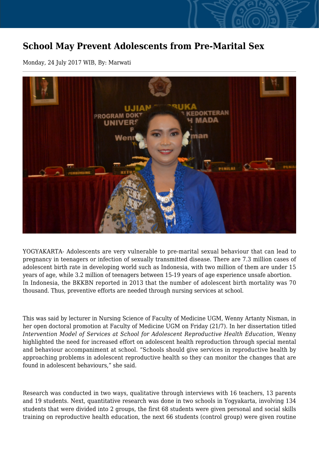## **School May Prevent Adolescents from Pre-Marital Sex**

Monday, 24 July 2017 WIB, By: Marwati



YOGYAKARTA- Adolescents are very vulnerable to pre-marital sexual behaviour that can lead to pregnancy in teenagers or infection of sexually transmitted disease. There are 7.3 million cases of adolescent birth rate in developing world such as Indonesia, with two million of them are under 15 years of age, while 3.2 million of teenagers between 15-19 years of age experience unsafe abortion. In Indonesia, the BKKBN reported in 2013 that the number of adolescent birth mortality was 70 thousand. Thus, preventive efforts are needed through nursing services at school.

This was said by lecturer in Nursing Science of Faculty of Medicine UGM, Wenny Artanty Nisman, in her open doctoral promotion at Faculty of Medicine UGM on Friday (21/7). In her dissertation titled *Intervention Model of Services at School for Adolescent Reproductive Health Education*, Wenny highlighted the need for increased effort on adolescent health reproduction through special mental and behaviour accompaniment at school. "Schools should give services in reproductive health by approaching problems in adolescent reproductive health so they can monitor the changes that are found in adolescent behaviours," she said.

Research was conducted in two ways, qualitative through interviews with 16 teachers, 13 parents and 19 students. Next, quantitative research was done in two schools in Yogyakarta, involving 134 students that were divided into 2 groups, the first 68 students were given personal and social skills training on reproductive health education, the next 66 students (control group) were given routine